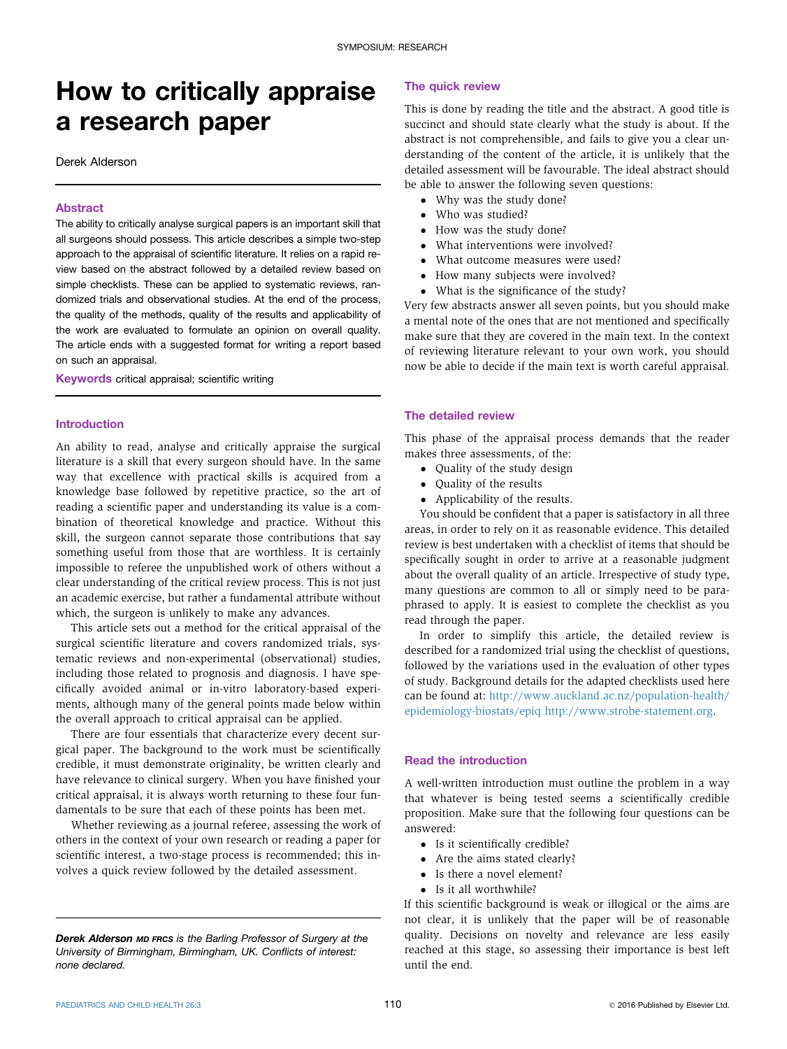# How to critically appraise a research paper

Derek Alderson

#### Abstract

The ability to critically analyse surgical papers is an important skill that all surgeons should possess. This article describes a simple two-step approach to the appraisal of scientific literature. It relies on a rapid review based on the abstract followed by a detailed review based on simple checklists. These can be applied to systematic reviews, randomized trials and observational studies. At the end of the process, the quality of the methods, quality of the results and applicability of the work are evaluated to formulate an opinion on overall quality. The article ends with a suggested format for writing a report based on such an appraisal.

Keywords critical appraisal; scientific writing

#### Introduction

An ability to read, analyse and critically appraise the surgical literature is a skill that every surgeon should have. In the same way that excellence with practical skills is acquired from a knowledge base followed by repetitive practice, so the art of reading a scientific paper and understanding its value is a combination of theoretical knowledge and practice. Without this skill, the surgeon cannot separate those contributions that say something useful from those that are worthless. It is certainly impossible to referee the unpublished work of others without a clear understanding of the critical review process. This is not just an academic exercise, but rather a fundamental attribute without which, the surgeon is unlikely to make any advances.

This article sets out a method for the critical appraisal of the surgical scientific literature and covers randomized trials, systematic reviews and non-experimental (observational) studies, including those related to prognosis and diagnosis. I have specifically avoided animal or in-vitro laboratory-based experiments, although many of the general points made below within the overall approach to critical appraisal can be applied.

There are four essentials that characterize every decent surgical paper. The background to the work must be scientifically credible, it must demonstrate originality, be written clearly and have relevance to clinical surgery. When you have finished your critical appraisal, it is always worth returning to these four fundamentals to be sure that each of these points has been met.

Whether reviewing as a journal referee, assessing the work of others in the context of your own research or reading a paper for scientific interest, a two-stage process is recommended; this involves a quick review followed by the detailed assessment.

#### The quick review

This is done by reading the title and the abstract. A good title is succinct and should state clearly what the study is about. If the abstract is not comprehensible, and fails to give you a clear understanding of the content of the article, it is unlikely that the detailed assessment will be favourable. The ideal abstract should be able to answer the following seven questions:

- Why was the study done?
- Who was studied?
- How was the study done?
- What interventions were involved?
- What outcome measures were used?
- How many subjects were involved?
- What is the significance of the study?

Very few abstracts answer all seven points, but you should make a mental note of the ones that are not mentioned and specifically make sure that they are covered in the main text. In the context of reviewing literature relevant to your own work, you should now be able to decide if the main text is worth careful appraisal.

#### The detailed review

This phase of the appraisal process demands that the reader makes three assessments, of the:

- Ouality of the study design
- Quality of the results
- Applicability of the results.

You should be confident that a paper is satisfactory in all three areas, in order to rely on it as reasonable evidence. This detailed review is best undertaken with a checklist of items that should be specifically sought in order to arrive at a reasonable judgment about the overall quality of an article. Irrespective of study type, many questions are common to all or simply need to be paraphrased to apply. It is easiest to complete the checklist as you read through the paper.

In order to simplify this article, the detailed review is described for a randomized trial using the checklist of questions, followed by the variations used in the evaluation of other types of study. Background details for the adapted checklists used here can be found at: [http://www.auckland.ac.nz/population-health/](http://www.auckland.ac.nz/population-health/epidemiology-biostats/epiq) [epidemiology-biostats/epiq](http://www.auckland.ac.nz/population-health/epidemiology-biostats/epiq) [http://www.strobe-statement.org.](http://www.strobe-statement.org)

## Read the introduction

A well-written introduction must outline the problem in a way that whatever is being tested seems a scientifically credible proposition. Make sure that the following four questions can be answered:

- Is it scientifically credible?
- Are the aims stated clearly?
- Is there a novel element?
- Is it all worthwhile?

If this scientific background is weak or illogical or the aims are not clear, it is unlikely that the paper will be of reasonable quality. Decisions on novelty and relevance are less easily reached at this stage, so assessing their importance is best left until the end.

Derek Alderson MD FRCS is the Barling Professor of Surgery at the University of Birmingham, Birmingham, UK. Conflicts of interest: none declared.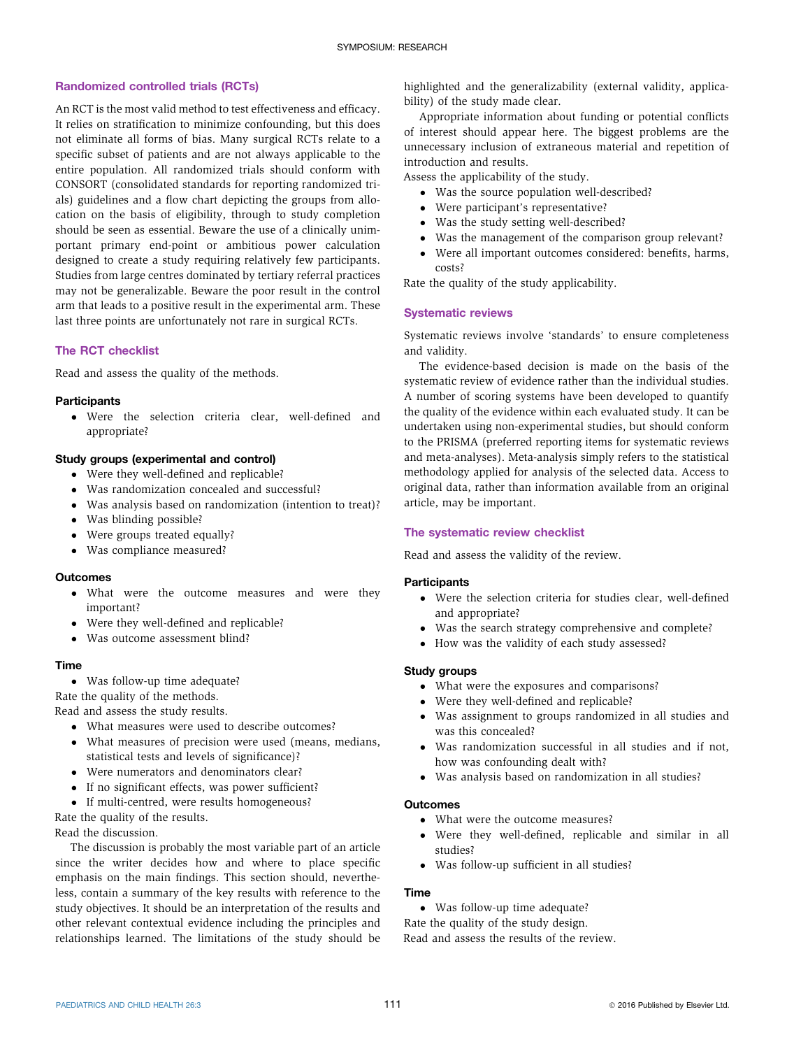#### Randomized controlled trials (RCTs)

An RCT is the most valid method to test effectiveness and efficacy. It relies on stratification to minimize confounding, but this does not eliminate all forms of bias. Many surgical RCTs relate to a specific subset of patients and are not always applicable to the entire population. All randomized trials should conform with CONSORT (consolidated standards for reporting randomized trials) guidelines and a flow chart depicting the groups from allocation on the basis of eligibility, through to study completion should be seen as essential. Beware the use of a clinically unimportant primary end-point or ambitious power calculation designed to create a study requiring relatively few participants. Studies from large centres dominated by tertiary referral practices may not be generalizable. Beware the poor result in the control arm that leads to a positive result in the experimental arm. These last three points are unfortunately not rare in surgical RCTs.

## The RCT checklist

Read and assess the quality of the methods.

#### **Participants**

 Were the selection criteria clear, well-defined and appropriate?

#### Study groups (experimental and control)

- Were they well-defined and replicable?
- Was randomization concealed and successful?
- Was analysis based on randomization (intention to treat)?
- Was blinding possible?
- Were groups treated equally?
- Was compliance measured?

#### **Outcomes**

- What were the outcome measures and were they important?
- Were they well-defined and replicable?
- Was outcome assessment blind?

#### Time

- Was follow-up time adequate?
- Rate the quality of the methods.

Read and assess the study results.

- What measures were used to describe outcomes?
- What measures of precision were used (means, medians, statistical tests and levels of significance)?
- Were numerators and denominators clear?
- If no significant effects, was power sufficient?
- If multi-centred, were results homogeneous?

Rate the quality of the results.

Read the discussion.

The discussion is probably the most variable part of an article since the writer decides how and where to place specific emphasis on the main findings. This section should, nevertheless, contain a summary of the key results with reference to the study objectives. It should be an interpretation of the results and other relevant contextual evidence including the principles and relationships learned. The limitations of the study should be

highlighted and the generalizability (external validity, applicability) of the study made clear.

Appropriate information about funding or potential conflicts of interest should appear here. The biggest problems are the unnecessary inclusion of extraneous material and repetition of introduction and results.

Assess the applicability of the study.

- Was the source population well-described?
- Were participant's representative?
- Was the study setting well-described?
- Was the management of the comparison group relevant?
- Were all important outcomes considered: benefits, harms, costs?

Rate the quality of the study applicability.

#### Systematic reviews

Systematic reviews involve 'standards' to ensure completeness and validity.

The evidence-based decision is made on the basis of the systematic review of evidence rather than the individual studies. A number of scoring systems have been developed to quantify the quality of the evidence within each evaluated study. It can be undertaken using non-experimental studies, but should conform to the PRISMA (preferred reporting items for systematic reviews and meta-analyses). Meta-analysis simply refers to the statistical methodology applied for analysis of the selected data. Access to original data, rather than information available from an original article, may be important.

#### The systematic review checklist

Read and assess the validity of the review.

#### **Participants**

- Were the selection criteria for studies clear, well-defined and appropriate?
- Was the search strategy comprehensive and complete?
- How was the validity of each study assessed?

#### Study groups

- What were the exposures and comparisons?
- Were they well-defined and replicable?
- Was assignment to groups randomized in all studies and was this concealed?
- Was randomization successful in all studies and if not, how was confounding dealt with?
- Was analysis based on randomization in all studies?

#### **Outcomes**

- What were the outcome measures?
- Were they well-defined, replicable and similar in all studies?
- Was follow-up sufficient in all studies?

# Time

Was follow-up time adequate?

Rate the quality of the study design.

Read and assess the results of the review.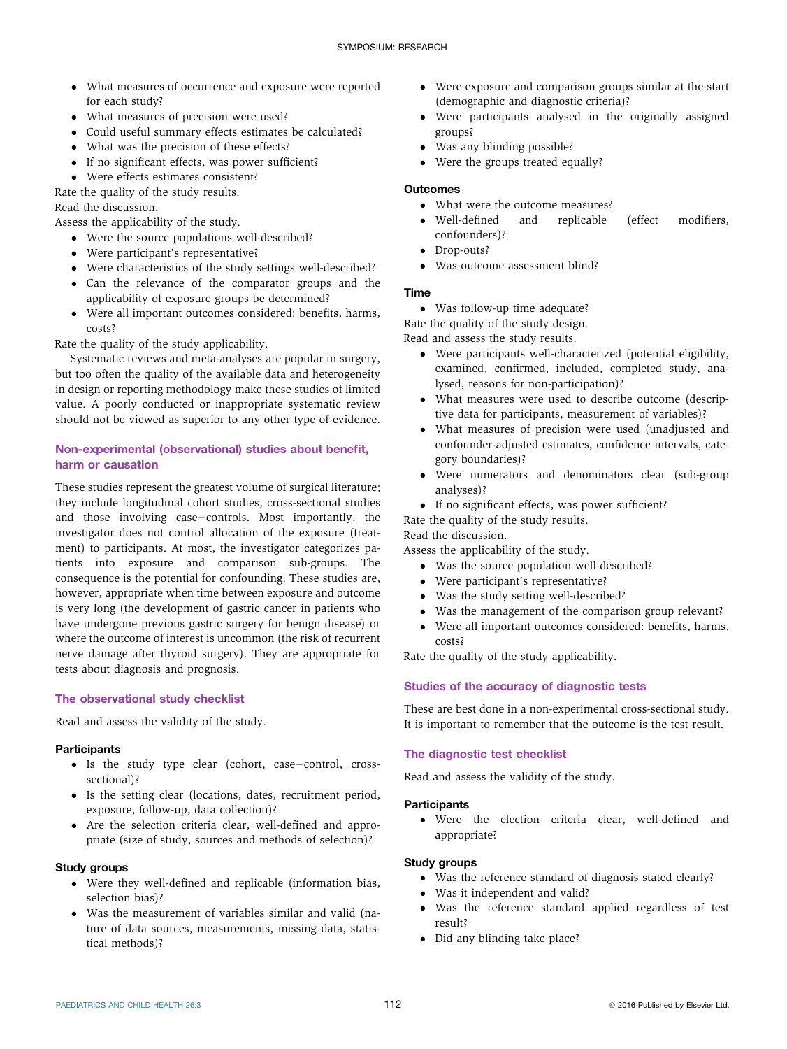- What measures of occurrence and exposure were reported for each study?
- What measures of precision were used?
- Could useful summary effects estimates be calculated?
- What was the precision of these effects?
- If no significant effects, was power sufficient?
- Were effects estimates consistent?
- Rate the quality of the study results.

Read the discussion.

Assess the applicability of the study.

- Were the source populations well-described?
- Were participant's representative?
- Were characteristics of the study settings well-described?
- Can the relevance of the comparator groups and the applicability of exposure groups be determined?
- Were all important outcomes considered: benefits, harms, costs?

Rate the quality of the study applicability.

Systematic reviews and meta-analyses are popular in surgery, but too often the quality of the available data and heterogeneity in design or reporting methodology make these studies of limited value. A poorly conducted or inappropriate systematic review should not be viewed as superior to any other type of evidence.

## Non-experimental (observational) studies about benefit, harm or causation

These studies represent the greatest volume of surgical literature; they include longitudinal cohort studies, cross-sectional studies and those involving case-controls. Most importantly, the investigator does not control allocation of the exposure (treatment) to participants. At most, the investigator categorizes patients into exposure and comparison sub-groups. The consequence is the potential for confounding. These studies are, however, appropriate when time between exposure and outcome is very long (the development of gastric cancer in patients who have undergone previous gastric surgery for benign disease) or where the outcome of interest is uncommon (the risk of recurrent nerve damage after thyroid surgery). They are appropriate for tests about diagnosis and prognosis.

## The observational study checklist

Read and assess the validity of the study.

## **Participants**

- $\bullet$  Is the study type clear (cohort, case-control, crosssectional)?
- Is the setting clear (locations, dates, recruitment period, exposure, follow-up, data collection)?
- Are the selection criteria clear, well-defined and appropriate (size of study, sources and methods of selection)?

## Study groups

- Were they well-defined and replicable (information bias, selection bias)?
- Was the measurement of variables similar and valid (nature of data sources, measurements, missing data, statistical methods)?
- Were exposure and comparison groups similar at the start (demographic and diagnostic criteria)?
- Were participants analysed in the originally assigned groups?
- Was any blinding possible?
- Were the groups treated equally?

## **Outcomes**

- What were the outcome measures?<br>• Well-defined and replicable
- Well-defined and replicable (effect modifiers, confounders)?
- Drop-outs?
- Was outcome assessment blind?

## Time

Was follow-up time adequate?

Rate the quality of the study design.

Read and assess the study results.

- Were participants well-characterized (potential eligibility, examined, confirmed, included, completed study, analysed, reasons for non-participation)?
- What measures were used to describe outcome (descriptive data for participants, measurement of variables)?
- What measures of precision were used (unadjusted and confounder-adjusted estimates, confidence intervals, category boundaries)?
- Were numerators and denominators clear (sub-group analyses)?

If no significant effects, was power sufficient?

Rate the quality of the study results.

## Read the discussion.

Assess the applicability of the study.

- Was the source population well-described?
- Were participant's representative?
- Was the study setting well-described?
- Was the management of the comparison group relevant?
- Were all important outcomes considered: benefits, harms, costs?

Rate the quality of the study applicability.

## Studies of the accuracy of diagnostic tests

These are best done in a non-experimental cross-sectional study. It is important to remember that the outcome is the test result.

## The diagnostic test checklist

Read and assess the validity of the study.

## **Participants**

 Were the election criteria clear, well-defined and appropriate?

## Study groups

- Was the reference standard of diagnosis stated clearly?
- Was it independent and valid?
- Was the reference standard applied regardless of test result?
- Did any blinding take place?